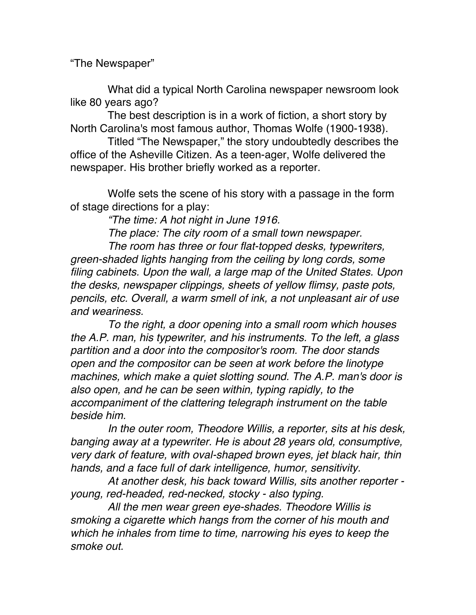"The Newspaper"

What did a typical North Carolina newspaper newsroom look like 80 years ago?

The best description is in a work of fiction, a short story by North Carolina's most famous author, Thomas Wolfe (1900-1938).

Titled "The Newspaper," the story undoubtedly describes the office of the Asheville Citizen. As a teen-ager, Wolfe delivered the newspaper. His brother briefly worked as a reporter.

Wolfe sets the scene of his story with a passage in the form of stage directions for a play:

*"The time: A hot night in June 1916.*

*The place: The city room of a small town newspaper. The room has three or four flat-topped desks, typewriters, green-shaded lights hanging from the ceiling by long cords, some filing cabinets. Upon the wall, a large map of the United States. Upon the desks, newspaper clippings, sheets of yellow flimsy, paste pots, pencils, etc. Overall, a warm smell of ink, a not unpleasant air of use and weariness.*

*To the right, a door opening into a small room which houses the A.P. man, his typewriter, and his instruments. To the left, a glass partition and a door into the compositor's room. The door stands open and the compositor can be seen at work before the linotype machines, which make a quiet slotting sound. The A.P. man's door is also open, and he can be seen within, typing rapidly, to the accompaniment of the clattering telegraph instrument on the table beside him.* 

*In the outer room, Theodore Willis, a reporter, sits at his desk, banging away at a typewriter. He is about 28 years old, consumptive, very dark of feature, with oval-shaped brown eyes, jet black hair, thin hands, and a face full of dark intelligence, humor, sensitivity.*

 *At another desk, his back toward Willis, sits another reporter young, red-headed, red-necked, stocky - also typing.*

 *All the men wear green eye-shades. Theodore Willis is smoking a cigarette which hangs from the corner of his mouth and which he inhales from time to time, narrowing his eyes to keep the smoke out.*